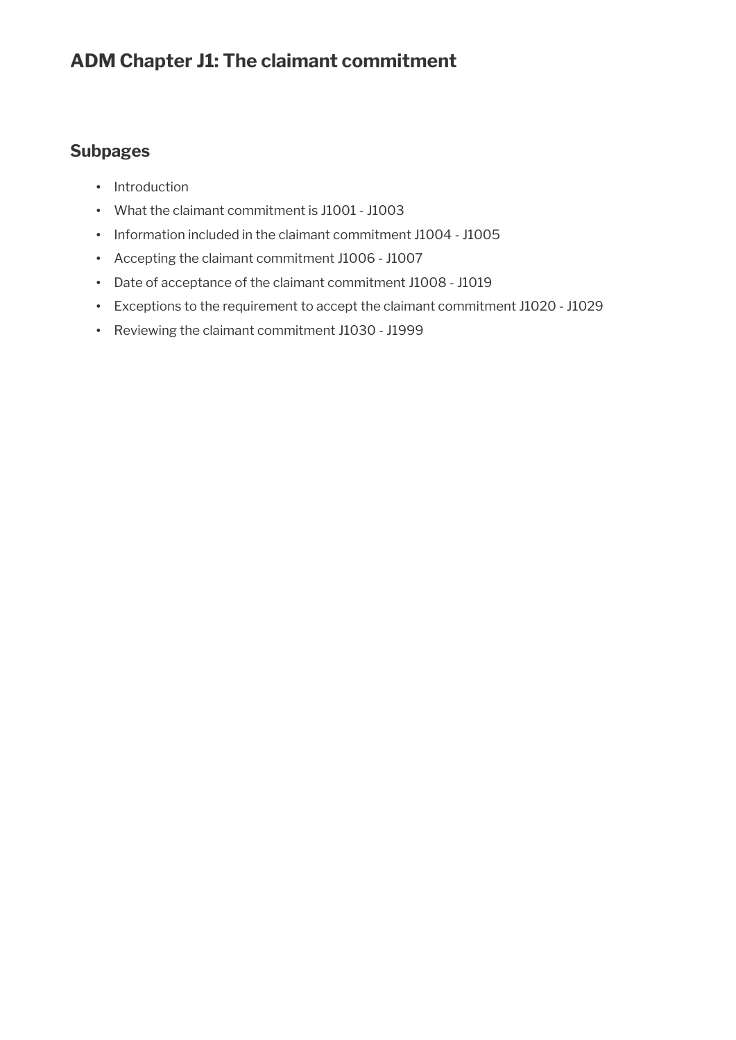## **ADM Chapter J1: The claimant commitment**

### **Subpages**

- Introduction
- What the claimant commitment is J1001 J1003
- Information included in the claimant commitment J1004 J1005
- Accepting the claimant commitment J1006 J1007
- Date of acceptance of the claimant commitment J1008 J1019
- Exceptions to the requirement to accept the claimant commitment J1020 J1029
- Reviewing the claimant commitment J1030 J1999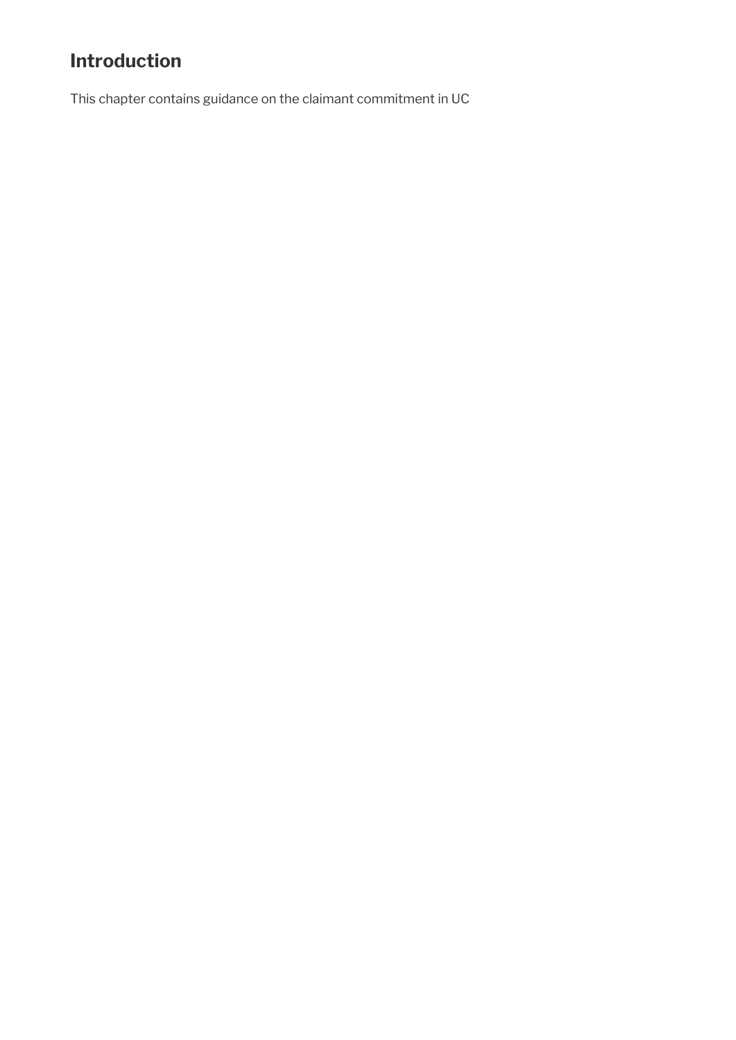# **Introduction**

This chapter contains guidance on the claimant commitment in UC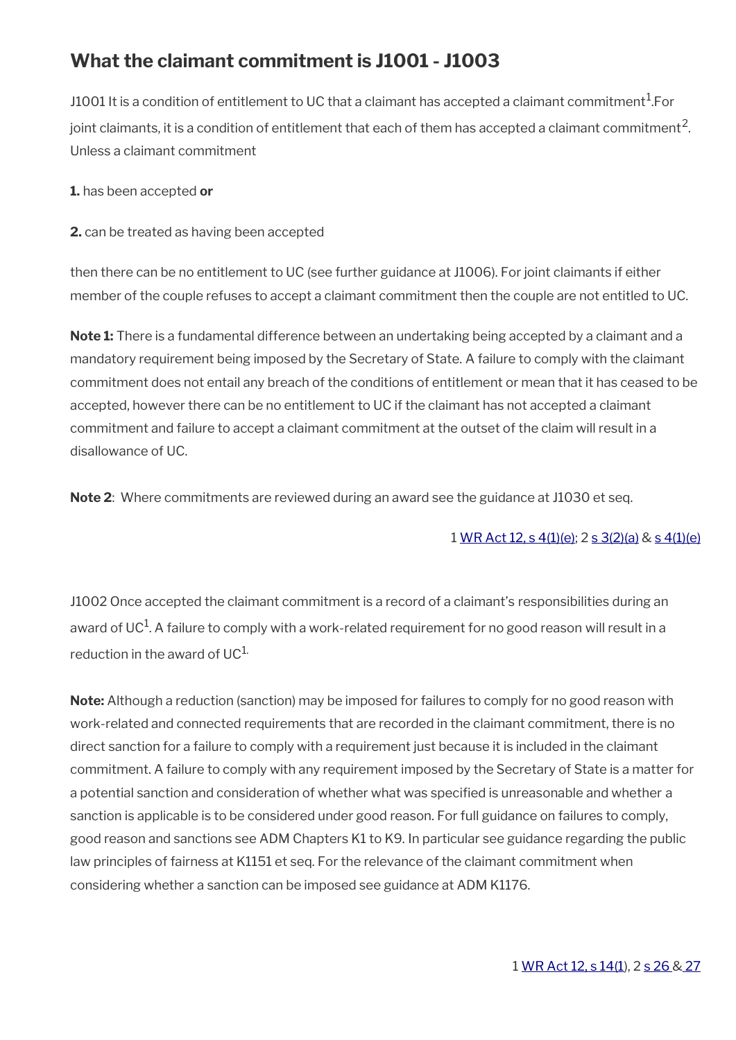# **What the claimant commitment is J1001 - J1003**

J1001 It is a condition of entitlement to UC that a claimant has accepted a claimant commitment $^{\rm 1.}$ For joint claimants, it is a condition of entitlement that each of them has accepted a claimant commitment $^{\rm 2}$ . Unless a claimant commitment

**1.** has been accepted **or**

**2.** can be treated as having been accepted

then there can be no entitlement to UC (see further guidance at J1006). For joint claimants if either member of the couple refuses to accept a claimant commitment then the couple are not entitled to UC.

**Note 1:** There is a fundamental difference between an undertaking being accepted by a claimant and a mandatory requirement being imposed by the Secretary of State. A failure to comply with the claimant commitment does not entail any breach of the conditions of entitlement or mean that it has ceased to be accepted, however there can be no entitlement to UC if the claimant has not accepted a claimant commitment and failure to accept a claimant commitment at the outset of the claim will result in a disallowance of UC.

**Note 2**: Where commitments are reviewed during an award see the guidance at J1030 et seq.

#### 1 [WR Act 12, s 4\(1\)\(e\)](https://www.legislation.gov.uk/ukpga/2012/5/section/4); 2 [s 3\(2\)\(a\)](https://www.legislation.gov.uk/ukpga/2012/5/section/3) & [s 4\(1\)\(e\)](https://www.legislation.gov.uk/ukpga/2012/5/section/4)

J1002 Once accepted the claimant commitment is a record of a claimant's responsibilities during an award of UC $^{\rm 1}$ . A failure to comply with a work-related requirement for no good reason will result in a reduction in the award of  $UC^{1}$ .

**Note:** Although a reduction (sanction) may be imposed for failures to comply for no good reason with work-related and connected requirements that are recorded in the claimant commitment, there is no direct sanction for a failure to comply with a requirement just because it is included in the claimant commitment. A failure to comply with any requirement imposed by the Secretary of State is a matter for a potential sanction and consideration of whether what was specifed is unreasonable and whether a sanction is applicable is to be considered under good reason. For full guidance on failures to comply, good reason and sanctions see ADM Chapters K1 to K9. In particular see guidance regarding the public law principles of fairness at K1151 et seq. For the relevance of the claimant commitment when considering whether a sanction can be imposed see guidance at ADM K1176.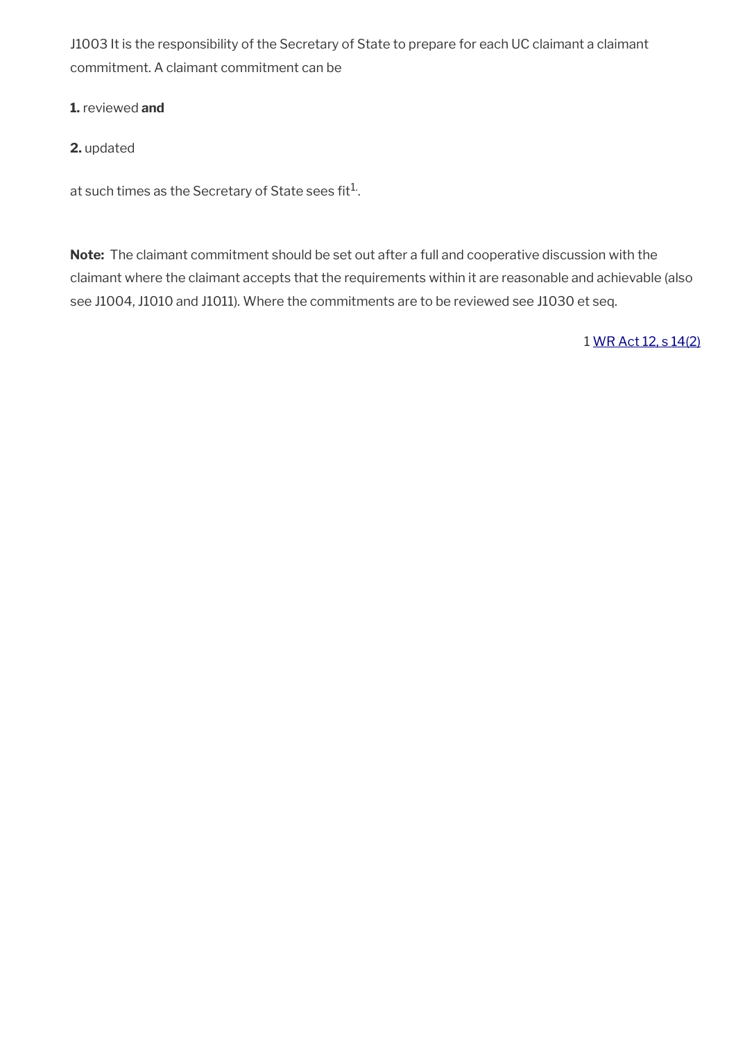J1003 It is the responsibility of the Secretary of State to prepare for each UC claimant a claimant commitment. A claimant commitment can be

**1.** reviewed **and**

#### **2.** updated

at such times as the Secretary of State sees fit $^{1}$ .

**Note:** The claimant commitment should be set out after a full and cooperative discussion with the claimant where the claimant accepts that the requirements within it are reasonable and achievable (also see J1004, J1010 and J1011). Where the commitments are to be reviewed see J1030 et seq.

1 [WR Act 12, s 14\(2\)](https://www.legislation.gov.uk/ukpga/2012/5/section/14)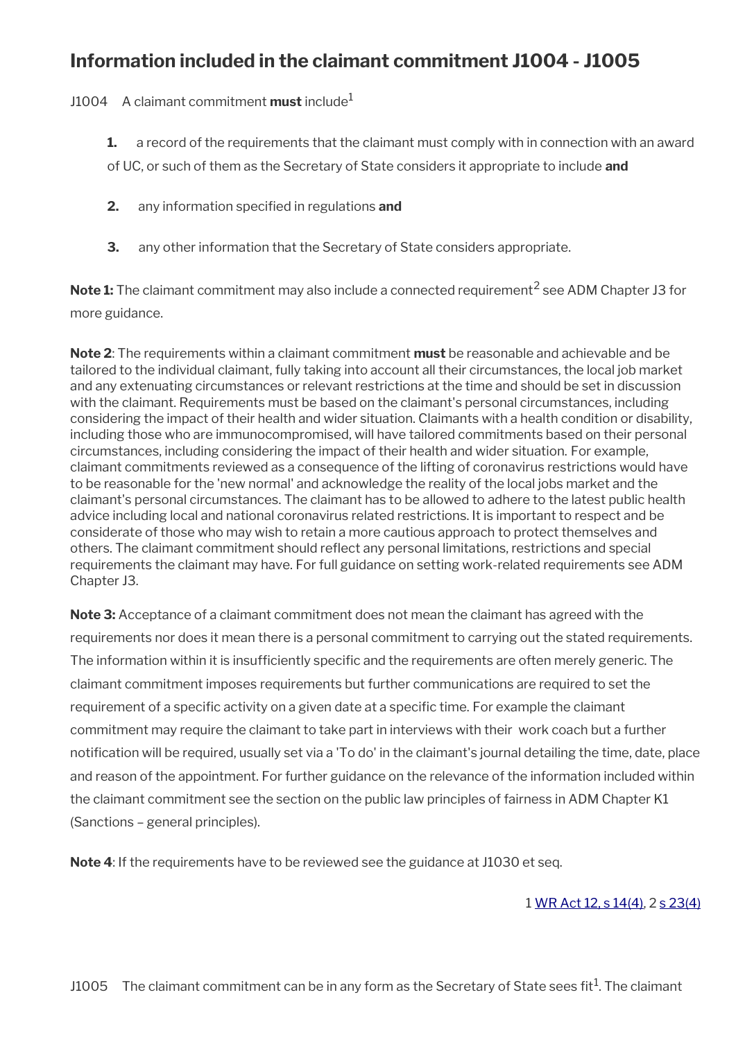### **Information included in the claimant commitment J1004 - J1005**

J1004 A claimant commitment **must** include<sup>1</sup>

- **1.** a record of the requirements that the claimant must comply with in connection with an award of UC, or such of them as the Secretary of State considers it appropriate to include **and**
- **2.** any information specifed in regulations **and**
- **3.** any other information that the Secretary of State considers appropriate.

**Note 1:** The claimant commitment may also include a connected requirement<sup>2</sup> see ADM Chapter J3 for more guidance.

**Note 2**: The requirements within a claimant commitment **must** be reasonable and achievable and be tailored to the individual claimant, fully taking into account all their circumstances, the local job market and any extenuating circumstances or relevant restrictions at the time and should be set in discussion with the claimant. Requirements must be based on the claimant's personal circumstances, including considering the impact of their health and wider situation. Claimants with a health condition or disability, including those who are immunocompromised, will have tailored commitments based on their personal circumstances, including considering the impact of their health and wider situation. For example, claimant commitments reviewed as a consequence of the lifting of coronavirus restrictions would have to be reasonable for the 'new normal' and acknowledge the reality of the local jobs market and the claimant's personal circumstances. The claimant has to be allowed to adhere to the latest public health advice including local and national coronavirus related restrictions. It is important to respect and be considerate of those who may wish to retain a more cautious approach to protect themselves and others. The claimant commitment should refect any personal limitations, restrictions and special requirements the claimant may have. For full guidance on setting work-related requirements see ADM Chapter J3.

**Note 3:** Acceptance of a claimant commitment does not mean the claimant has agreed with the requirements nor does it mean there is a personal commitment to carrying out the stated requirements. The information within it is insufficiently specific and the requirements are often merely generic. The claimant commitment imposes requirements but further communications are required to set the requirement of a specifc activity on a given date at a specifc time. For example the claimant commitment may require the claimant to take part in interviews with their work coach but a further notifcation will be required, usually set via a 'To do' in the claimant's journal detailing the time, date, place and reason of the appointment. For further guidance on the relevance of the information included within the claimant commitment see the section on the public law principles of fairness in ADM Chapter K1 (Sanctions – general principles).

**Note 4**: If the requirements have to be reviewed see the guidance at J1030 et seq.

#### 1 [WR Act 12, s 14\(4\),](https://www.legislation.gov.uk/ukpga/2012/5/section/14) 2 [s 23\(4\)](https://www.legislation.gov.uk/ukpga/2012/5/section/23)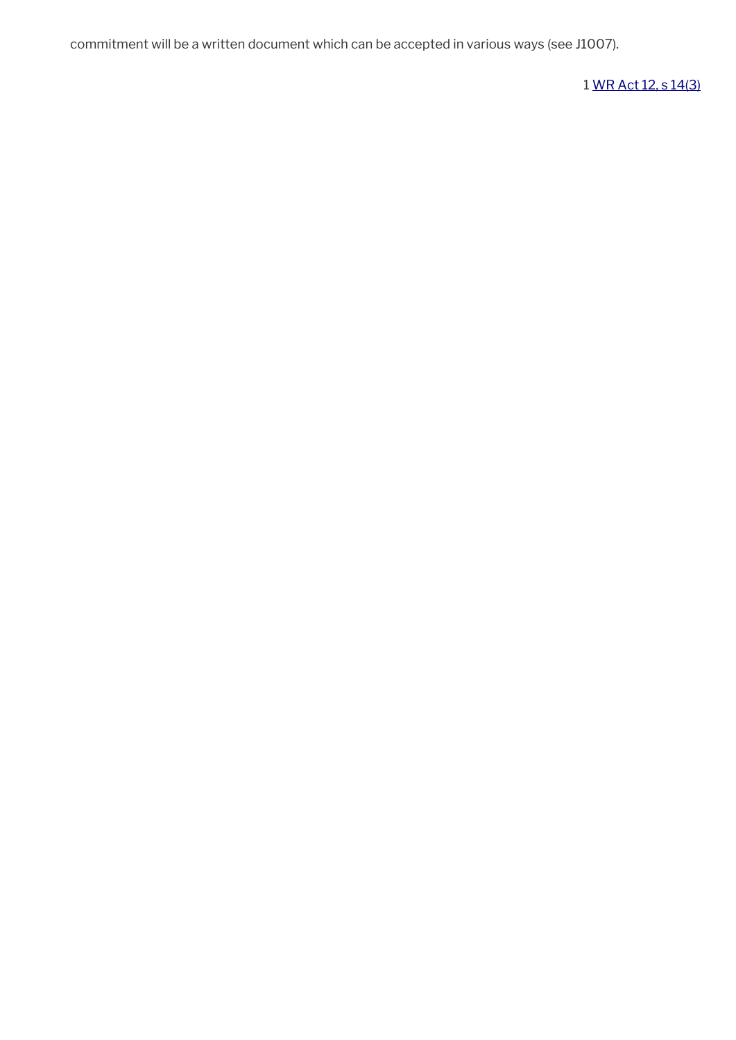commitment will be a written document which can be accepted in various ways (see J1007).

1 [WR Act 12, s 14\(3\)](https://www.legislation.gov.uk/ukpga/2012/5/section/14)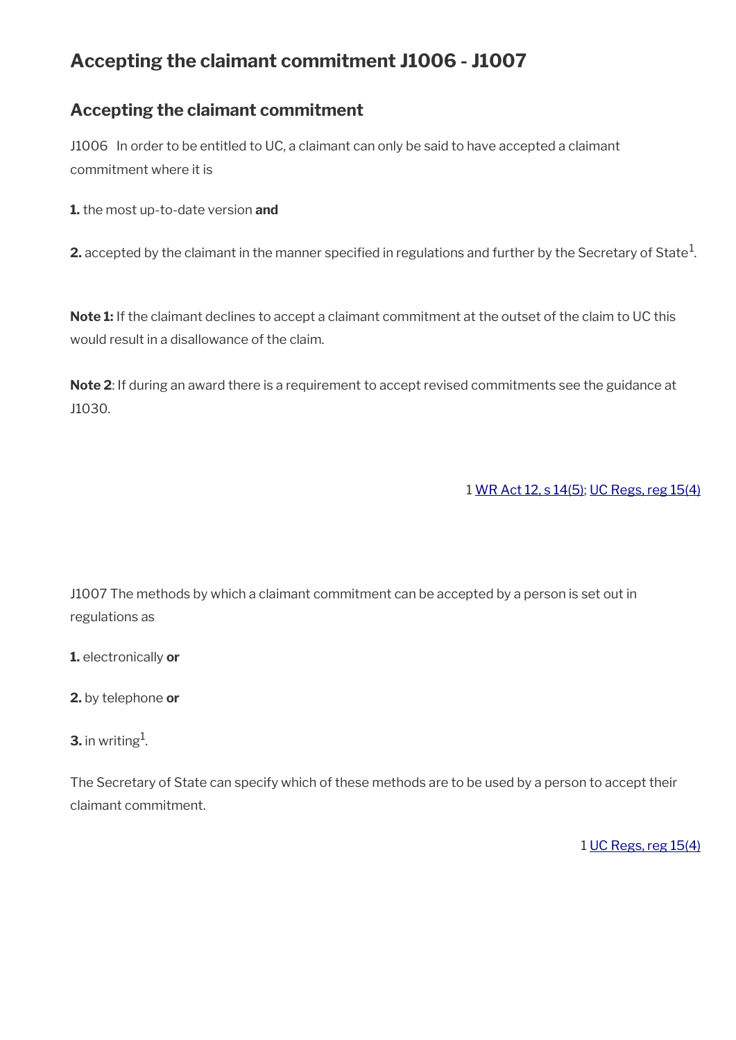# **Accepting the claimant commitment J1006 - J1007**

### **Accepting the claimant commitment**

J1006 In order to be entitled to UC, a claimant can only be said to have accepted a claimant commitment where it is

**1.** the most up-to-date version **and**

**2.** accepted by the claimant in the manner specified in regulations and further by the Secretary of State $^1$ .

**Note 1:** If the claimant declines to accept a claimant commitment at the outset of the claim to UC this would result in a disallowance of the claim.

**Note 2**: If during an award there is a requirement to accept revised commitments see the guidance at J1030.

1 [WR Act 12, s 14\(5\)](https://www.legislation.gov.uk/ukpga/2012/5/section/14); [UC Regs, reg 15\(4\)](https://www.legislation.gov.uk/uksi/2013/376/regulation/15)

J1007 The methods by which a claimant commitment can be accepted by a person is set out in regulations as

- **1.** electronically **or**
- **2.** by telephone **or**
- **3.** in writing<sup>1</sup>.

The Secretary of State can specify which of these methods are to be used by a person to accept their claimant commitment.

1 [UC Regs, reg 15\(4\)](https://www.legislation.gov.uk/uksi/2013/376/regulation/15)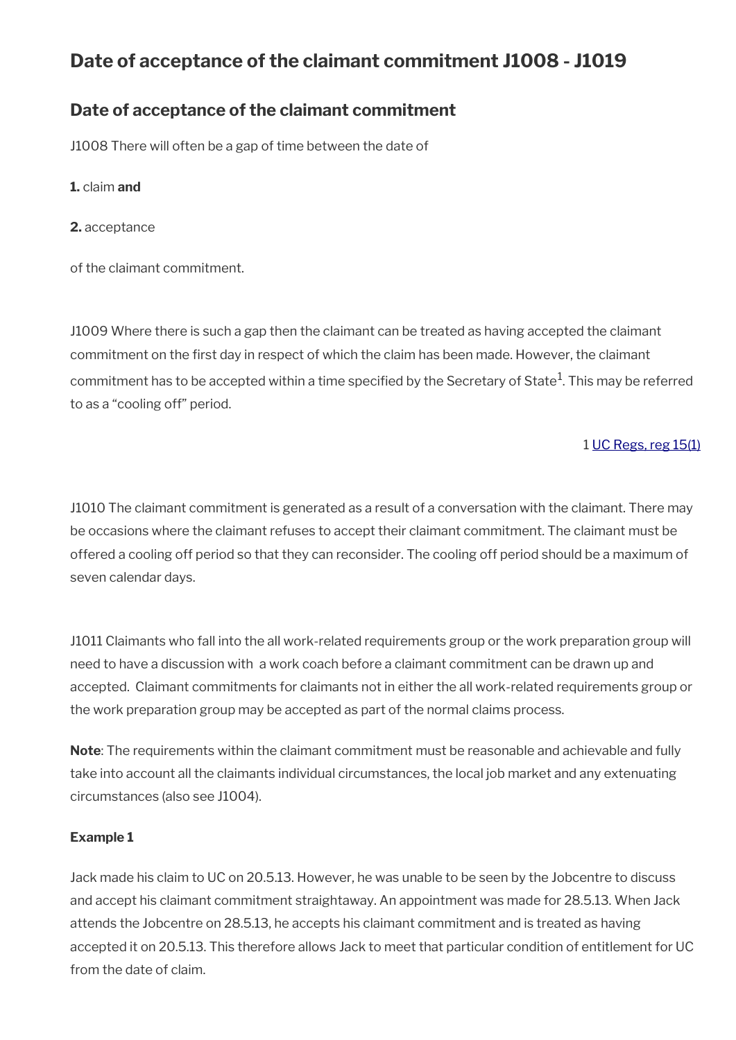# **Date of acceptance of the claimant commitment J1008 - J1019**

### **Date of acceptance of the claimant commitment**

J1008 There will often be a gap of time between the date of

**1.** claim **and**

**2.** acceptance

of the claimant commitment.

J1009 Where there is such a gap then the claimant can be treated as having accepted the claimant commitment on the frst day in respect of which the claim has been made. However, the claimant commitment has to be accepted within a time specified by the Secretary of State $^{\rm 1}$ . This may be referred to as a "cooling off" period.

#### 1 [UC Regs, reg 15\(1\)](https://www.legislation.gov.uk/uksi/2013/376/regulation/15)

J1010 The claimant commitment is generated as a result of a conversation with the claimant. There may be occasions where the claimant refuses to accept their claimant commitment. The claimant must be offered a cooling off period so that they can reconsider. The cooling off period should be a maximum of seven calendar days.

J1011 Claimants who fall into the all work-related requirements group or the work preparation group will need to have a discussion with a work coach before a claimant commitment can be drawn up and accepted. Claimant commitments for claimants not in either the all work-related requirements group or the work preparation group may be accepted as part of the normal claims process.

**Note**: The requirements within the claimant commitment must be reasonable and achievable and fully take into account all the claimants individual circumstances, the local job market and any extenuating circumstances (also see J1004).

#### **Example 1**

Jack made his claim to UC on 20.5.13. However, he was unable to be seen by the Jobcentre to discuss and accept his claimant commitment straightaway. An appointment was made for 28.5.13. When Jack attends the Jobcentre on 28.5.13, he accepts his claimant commitment and is treated as having accepted it on 20.5.13. This therefore allows Jack to meet that particular condition of entitlement for UC from the date of claim.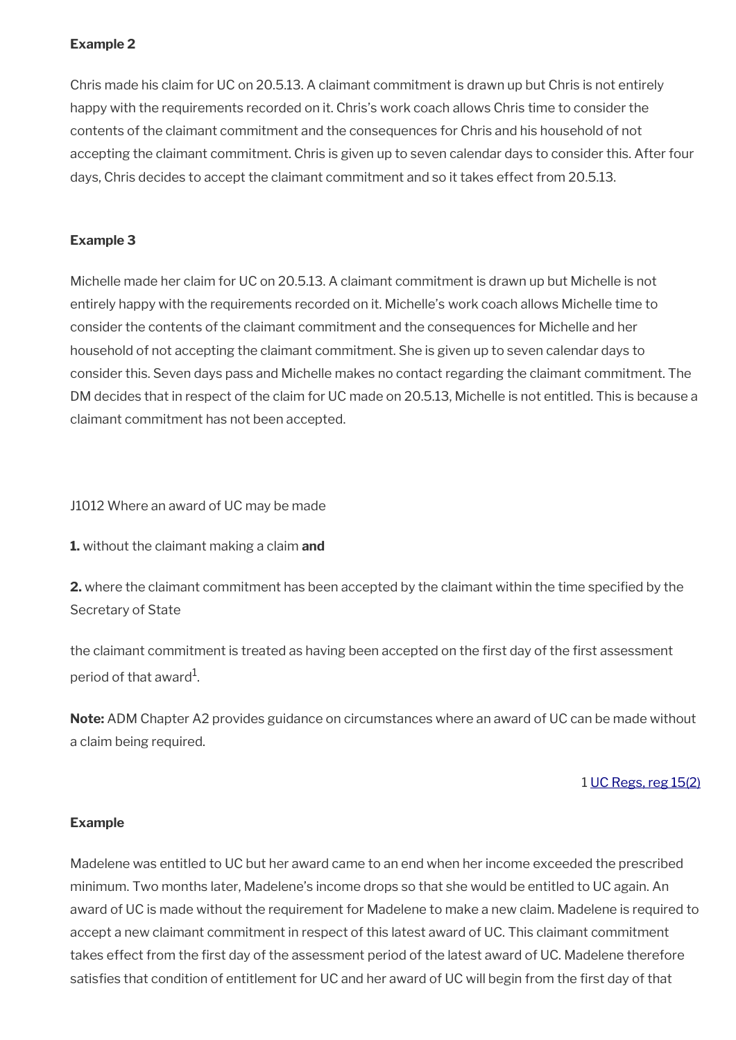Chris made his claim for UC on 20.5.13. A claimant commitment is drawn up but Chris is not entirely happy with the requirements recorded on it. Chris's work coach allows Chris time to consider the contents of the claimant commitment and the consequences for Chris and his household of not accepting the claimant commitment. Chris is given up to seven calendar days to consider this. After four days, Chris decides to accept the claimant commitment and so it takes effect from 20.5.13.

#### **Example 3**

Michelle made her claim for UC on 20.5.13. A claimant commitment is drawn up but Michelle is not entirely happy with the requirements recorded on it. Michelle's work coach allows Michelle time to consider the contents of the claimant commitment and the consequences for Michelle and her household of not accepting the claimant commitment. She is given up to seven calendar days to consider this. Seven days pass and Michelle makes no contact regarding the claimant commitment. The DM decides that in respect of the claim for UC made on 20.5.13, Michelle is not entitled. This is because a claimant commitment has not been accepted.

J1012 Where an award of UC may be made

**1.** without the claimant making a claim **and**

**2.** where the claimant commitment has been accepted by the claimant within the time specifed by the Secretary of State

the claimant commitment is treated as having been accepted on the first day of the first assessment period of that award $^{\rm 1}$ .

**Note:** ADM Chapter A2 provides guidance on circumstances where an award of UC can be made without a claim being required.

1 [UC Regs, reg 15\(2\)](https://www.legislation.gov.uk/uksi/2013/376/regulation/15)

#### **Example**

Madelene was entitled to UC but her award came to an end when her income exceeded the prescribed minimum. Two months later, Madelene's income drops so that she would be entitled to UC again. An award of UC is made without the requirement for Madelene to make a new claim. Madelene is required to accept a new claimant commitment in respect of this latest award of UC. This claimant commitment takes effect from the frst day of the assessment period of the latest award of UC. Madelene therefore satisfies that condition of entitlement for UC and her award of UC will begin from the first day of that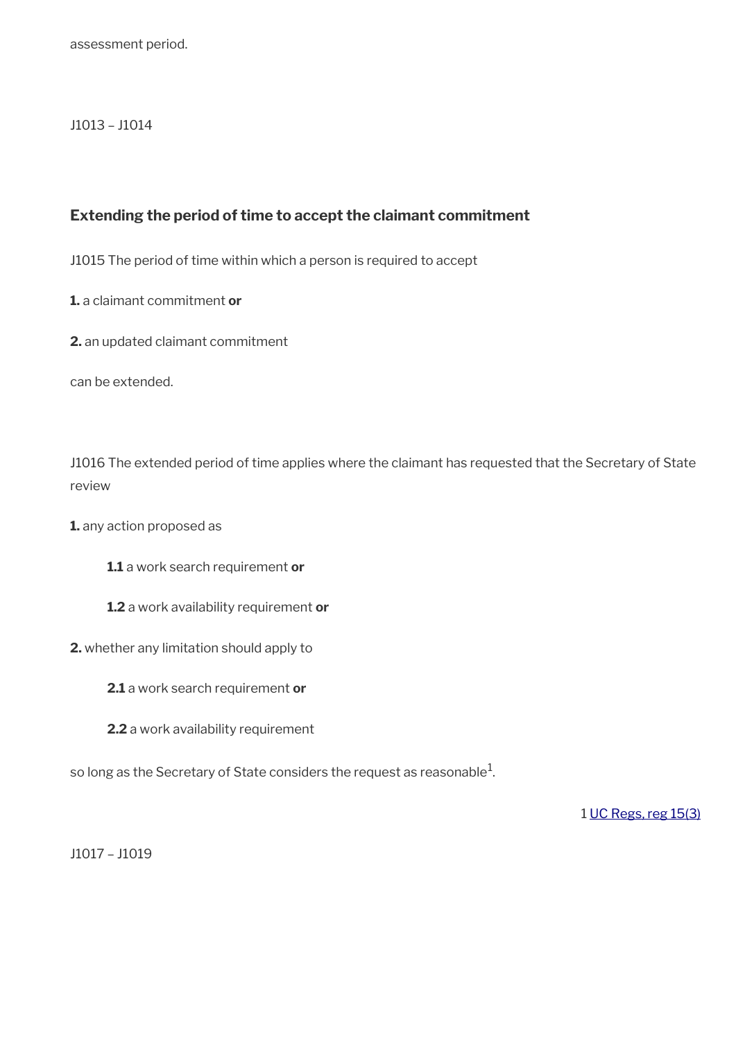#### J1013 – J1014

#### **Extending the period of time to accept the claimant commitment**

J1015 The period of time within which a person is required to accept

**1.** a claimant commitment **or**

**2.** an updated claimant commitment

can be extended.

J1016 The extended period of time applies where the claimant has requested that the Secretary of State review

**1.** any action proposed as

**1.1** a work search requirement **or**

**1.2** a work availability requirement **or**

**2.** whether any limitation should apply to

**2.1** a work search requirement **or**

**2.2** a work availability requirement

so long as the Secretary of State considers the request as reasonable $^1\!$ 

1 [UC Regs, reg 15\(3\)](https://www.legislation.gov.uk/uksi/2013/376/regulation/15)

J1017 – J1019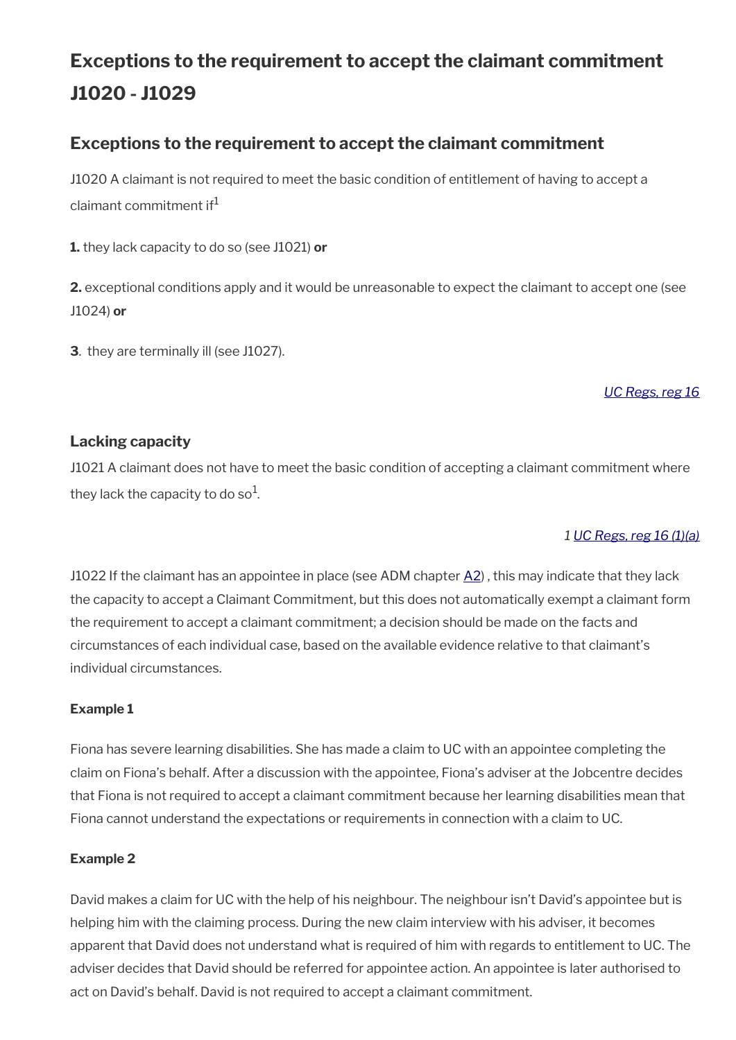# **Exceptions to the requirement to accept the claimant commitment J1020 - J1029**

### **Exceptions to the requirement to accept the claimant commitment**

J1020 A claimant is not required to meet the basic condition of entitlement of having to accept a claimant commitment if<sup>1</sup>

**1.** they lack capacity to do so (see J1021) **or**

**2.** exceptional conditions apply and it would be unreasonable to expect the claimant to accept one (see J1024) **or**

**3**. they are terminally ill (see J1027).

#### *[UC Regs, reg 16](https://www.legislation.gov.uk/uksi/2013/376/regulation/16)*

#### **Lacking capacity**

J1021 A claimant does not have to meet the basic condition of accepting a claimant commitment where they lack the capacity to do so $^{\rm 1}$ .

#### *1 [UC Regs, reg 16 \(1\)\(a\)](https://www.legislation.gov.uk/uksi/2013/376/regulation/16)*

J1022 If the claimant has an appointee in place (see ADM chapter  $\underline{A2}$  $\underline{A2}$  $\underline{A2}$ ), this may indicate that they lack the capacity to accept a Claimant Commitment, but this does not automatically exempt a claimant form the requirement to accept a claimant commitment; a decision should be made on the facts and circumstances of each individual case, based on the available evidence relative to that claimant's individual circumstances.

#### **Example 1**

Fiona has severe learning disabilities. She has made a claim to UC with an appointee completing the claim on Fiona's behalf. After a discussion with the appointee, Fiona's adviser at the Jobcentre decides that Fiona is not required to accept a claimant commitment because her learning disabilities mean that Fiona cannot understand the expectations or requirements in connection with a claim to UC.

#### **Example 2**

David makes a claim for UC with the help of his neighbour. The neighbour isn't David's appointee but is helping him with the claiming process. During the new claim interview with his adviser, it becomes apparent that David does not understand what is required of him with regards to entitlement to UC. The adviser decides that David should be referred for appointee action. An appointee is later authorised to act on David's behalf. David is not required to accept a claimant commitment.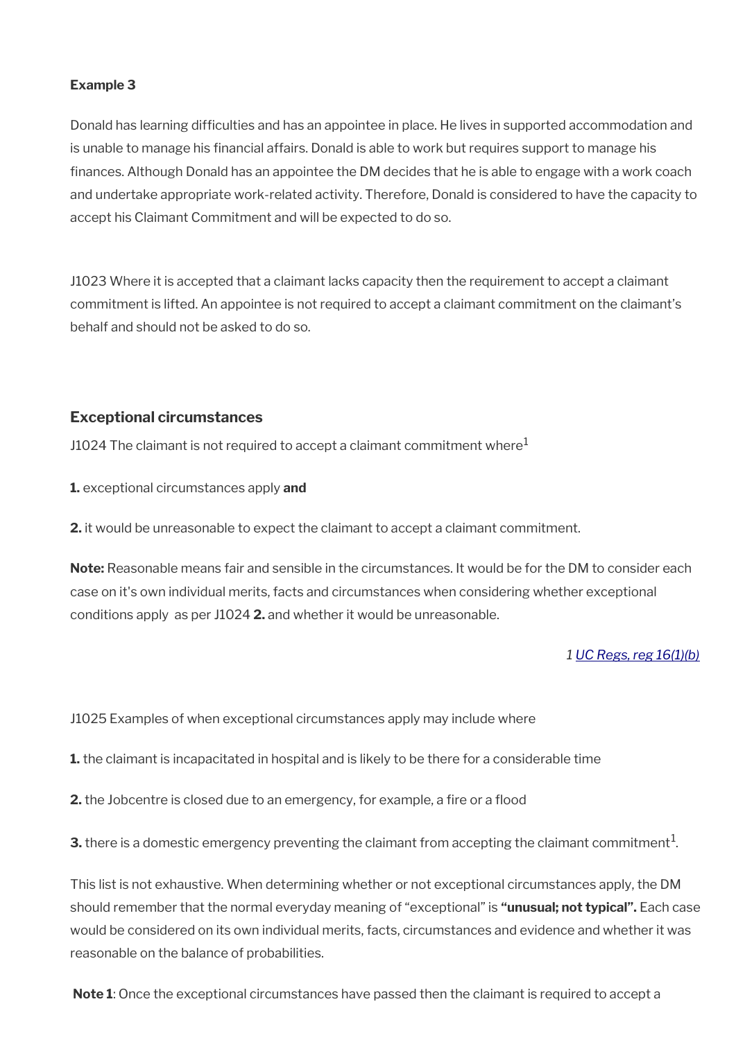Donald has learning difficulties and has an appointee in place. He lives in supported accommodation and is unable to manage his financial affairs. Donald is able to work but requires support to manage his fnances. Although Donald has an appointee the DM decides that he is able to engage with a work coach and undertake appropriate work-related activity. Therefore, Donald is considered to have the capacity to accept his Claimant Commitment and will be expected to do so.

J1023 Where it is accepted that a claimant lacks capacity then the requirement to accept a claimant commitment is lifted. An appointee is not required to accept a claimant commitment on the claimant's behalf and should not be asked to do so.

#### **Exceptional circumstances**

J1024 The claimant is not required to accept a claimant commitment where<sup>1</sup>

**1.** exceptional circumstances apply **and** 

**2.** it would be unreasonable to expect the claimant to accept a claimant commitment.

**Note:** Reasonable means fair and sensible in the circumstances. It would be for the DM to consider each case on it's own individual merits, facts and circumstances when considering whether exceptional conditions apply as per J1024 **2.** and whether it would be unreasonable.

#### *1 [UC Regs, reg 16\(1\)\(b\)](https://www.legislation.gov.uk/uksi/2013/376/regulation/16)*

J1025 Examples of when exceptional circumstances apply may include where

**1.** the claimant is incapacitated in hospital and is likely to be there for a considerable time

**2.** the Jobcentre is closed due to an emergency, for example, a fire or a flood

 ${\bf 3}.$  there is a domestic emergency preventing the claimant from accepting the claimant commitment $^{1}$ .

This list is not exhaustive. When determining whether or not exceptional circumstances apply, the DM should remember that the normal everyday meaning of "exceptional" is **"unusual; not typical".** Each case would be considered on its own individual merits, facts, circumstances and evidence and whether it was reasonable on the balance of probabilities.

**Note 1**: Once the exceptional circumstances have passed then the claimant is required to accept a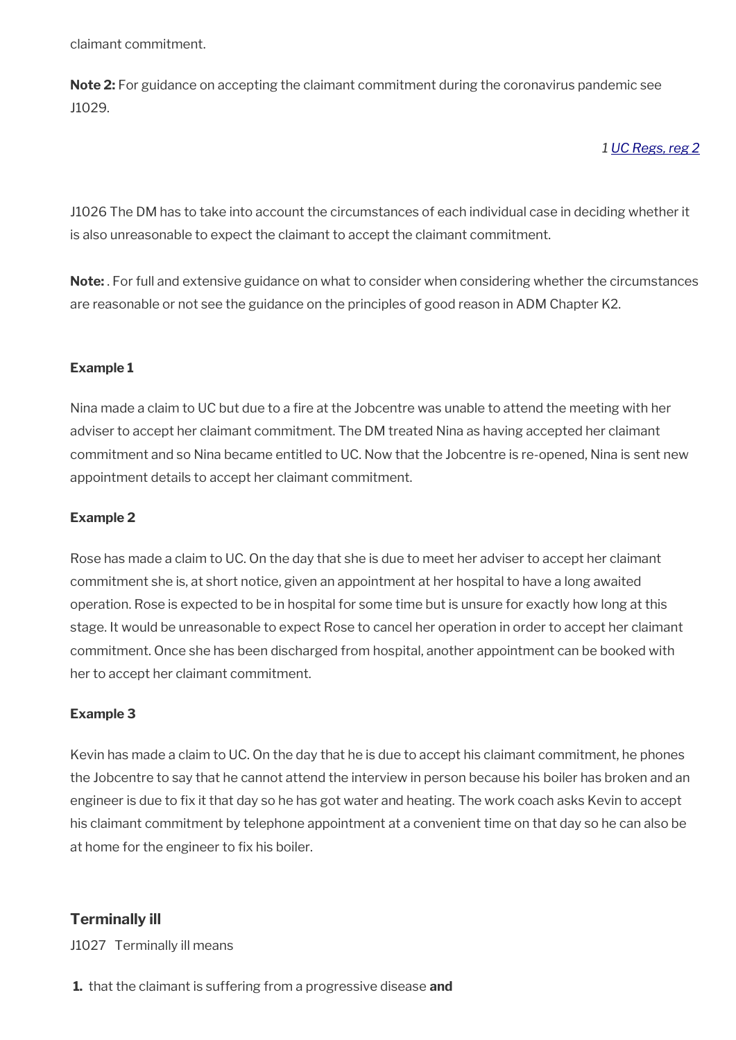claimant commitment.

**Note 2:** For guidance on accepting the claimant commitment during the coronavirus pandemic see J1029.

*1 [UC Regs, reg 2](https://www.legislation.gov.uk/uksi/2013/376/regulation/2)*

J1026 The DM has to take into account the circumstances of each individual case in deciding whether it is also unreasonable to expect the claimant to accept the claimant commitment.

**Note:** . For full and extensive guidance on what to consider when considering whether the circumstances are reasonable or not see the guidance on the principles of good reason in ADM Chapter K2.

#### **Example 1**

Nina made a claim to UC but due to a fre at the Jobcentre was unable to attend the meeting with her adviser to accept her claimant commitment. The DM treated Nina as having accepted her claimant commitment and so Nina became entitled to UC. Now that the Jobcentre is re-opened, Nina is sent new appointment details to accept her claimant commitment.

#### **Example 2**

Rose has made a claim to UC. On the day that she is due to meet her adviser to accept her claimant commitment she is, at short notice, given an appointment at her hospital to have a long awaited operation. Rose is expected to be in hospital for some time but is unsure for exactly how long at this stage. It would be unreasonable to expect Rose to cancel her operation in order to accept her claimant commitment. Once she has been discharged from hospital, another appointment can be booked with her to accept her claimant commitment.

#### **Example 3**

Kevin has made a claim to UC. On the day that he is due to accept his claimant commitment, he phones the Jobcentre to say that he cannot attend the interview in person because his boiler has broken and an engineer is due to fix it that day so he has got water and heating. The work coach asks Kevin to accept his claimant commitment by telephone appointment at a convenient time on that day so he can also be at home for the engineer to fix his boiler.

#### **Terminally ill**

J1027 Terminally ill means

**1.** that the claimant is suffering from a progressive disease **and**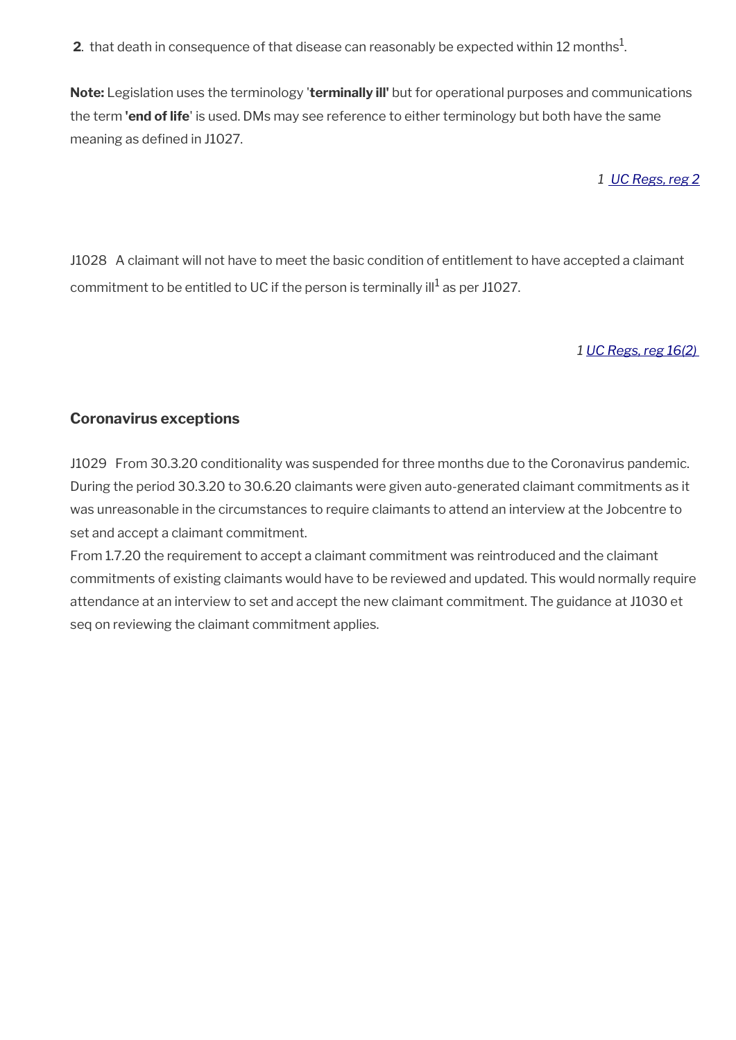**2**. that death in consequence of that disease can reasonably be expected within 12 months $^1$ .

**Note:** Legislation uses the terminology '**terminally ill'** but for operational purposes and communications the term **'end of life**' is used. DMs may see reference to either terminology but both have the same meaning as defined in J1027.

*1 [UC Regs, reg 2](https://www.legislation.gov.uk/uksi/2013/376/regulation/2)*

J1028 A claimant will not have to meet the basic condition of entitlement to have accepted a claimant commitment to be entitled to UC if the person is terminally ill $^{\rm 1}$  as per J1027.

*1 [UC Regs, reg 16\(2\)](https://www.legislation.gov.uk/uksi/2013/376/regulation/16)*

#### **Coronavirus exceptions**

J1029 From 30.3.20 conditionality was suspended for three months due to the Coronavirus pandemic. During the period 30.3.20 to 30.6.20 claimants were given auto-generated claimant commitments as it was unreasonable in the circumstances to require claimants to attend an interview at the Jobcentre to set and accept a claimant commitment.

From 1.7.20 the requirement to accept a claimant commitment was reintroduced and the claimant commitments of existing claimants would have to be reviewed and updated. This would normally require attendance at an interview to set and accept the new claimant commitment. The guidance at J1030 et seq on reviewing the claimant commitment applies.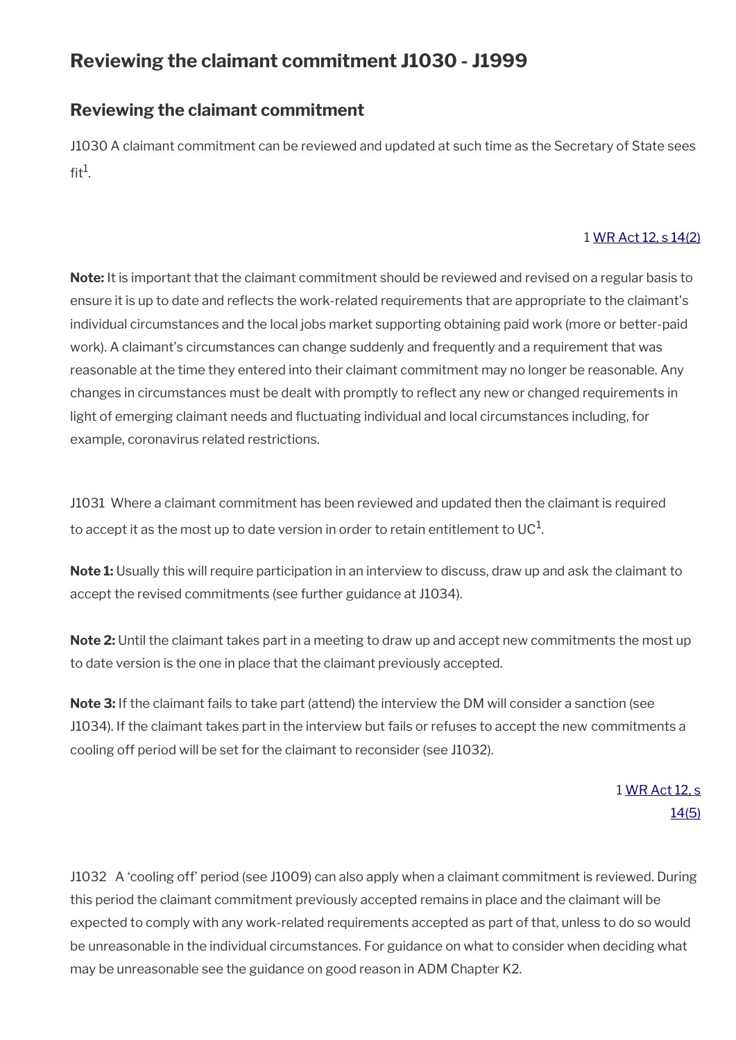# **Reviewing the claimant commitment J1030 - J1999**

### **Reviewing the claimant commitment**

J1030 A claimant commitment can be reviewed and updated at such time as the Secretary of State sees fit $^1$ .

#### 1 [WR Act 12, s 14\(2\)](https://www.legislation.gov.uk/ukpga/2012/5/section/14)

**Note:** It is important that the claimant commitment should be reviewed and revised on a regular basis to ensure it is up to date and refects the work-related requirements that are appropriate to the claimant's individual circumstances and the local jobs market supporting obtaining paid work (more or better-paid work). A claimant's circumstances can change suddenly and frequently and a requirement that was reasonable at the time they entered into their claimant commitment may no longer be reasonable. Any changes in circumstances must be dealt with promptly to refect any new or changed requirements in light of emerging claimant needs and fuctuating individual and local circumstances including, for example, coronavirus related restrictions.

J1031 Where a claimant commitment has been reviewed and updated then the claimant is required to accept it as the most up to date version in order to retain entitlement to UC $^{\rm 1}$ .

**Note 1:** Usually this will require participation in an interview to discuss, draw up and ask the claimant to accept the revised commitments (see further guidance at J1034).

**Note 2:** Until the claimant takes part in a meeting to draw up and accept new commitments the most up to date version is the one in place that the claimant previously accepted.

**Note 3:** If the claimant fails to take part (attend) the interview the DM will consider a sanction (see J1034). If the claimant takes part in the interview but fails or refuses to accept the new commitments a cooling off period will be set for the claimant to reconsider (see J1032).

> 1 [WR Act 12, s](https://www.legislation.gov.uk/ukpga/2012/5/section/14) [14\(5\)](https://www.legislation.gov.uk/ukpga/2012/5/section/14)

J1032 A 'cooling off' period (see J1009) can also apply when a claimant commitment is reviewed. During this period the claimant commitment previously accepted remains in place and the claimant will be expected to comply with any work-related requirements accepted as part of that, unless to do so would be unreasonable in the individual circumstances. For guidance on what to consider when deciding what may be unreasonable see the guidance on good reason in ADM Chapter K2.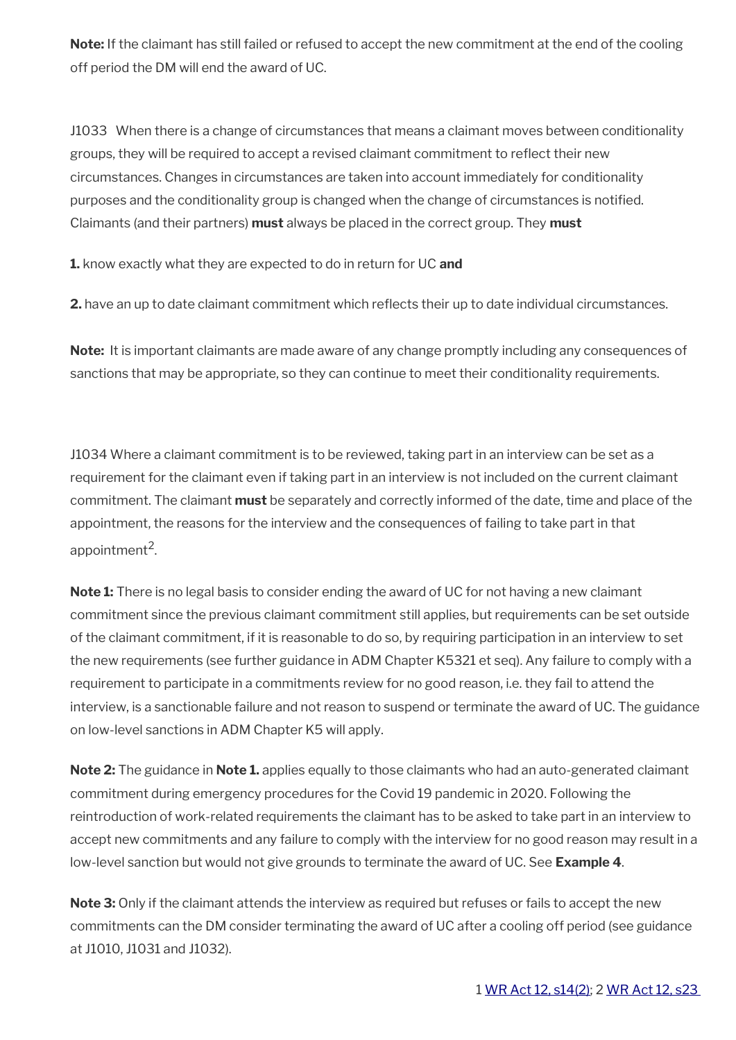**Note:** If the claimant has still failed or refused to accept the new commitment at the end of the cooling off period the DM will end the award of UC.

J1033 When there is a change of circumstances that means a claimant moves between conditionality groups, they will be required to accept a revised claimant commitment to refect their new circumstances. Changes in circumstances are taken into account immediately for conditionality purposes and the conditionality group is changed when the change of circumstances is notifed. Claimants (and their partners) **must** always be placed in the correct group. They **must**

**1.** know exactly what they are expected to do in return for UC **and**

**2.** have an up to date claimant commitment which refects their up to date individual circumstances.

**Note:** It is important claimants are made aware of any change promptly including any consequences of sanctions that may be appropriate, so they can continue to meet their conditionality requirements.

J1034 Where a claimant commitment is to be reviewed, taking part in an interview can be set as a requirement for the claimant even if taking part in an interview is not included on the current claimant commitment. The claimant **must** be separately and correctly informed of the date, time and place of the appointment, the reasons for the interview and the consequences of failing to take part in that appointment<sup>2</sup>.

**Note 1:** There is no legal basis to consider ending the award of UC for not having a new claimant commitment since the previous claimant commitment still applies, but requirements can be set outside of the claimant commitment, if it is reasonable to do so, by requiring participation in an interview to set the new requirements (see further guidance in ADM Chapter K5321 et seq). Any failure to comply with a requirement to participate in a commitments review for no good reason, i.e. they fail to attend the interview, is a sanctionable failure and not reason to suspend or terminate the award of UC. The guidance on low-level sanctions in ADM Chapter K5 will apply.

**Note 2:** The guidance in **Note 1.** applies equally to those claimants who had an auto-generated claimant commitment during emergency procedures for the Covid 19 pandemic in 2020. Following the reintroduction of work-related requirements the claimant has to be asked to take part in an interview to accept new commitments and any failure to comply with the interview for no good reason may result in a low-level sanction but would not give grounds to terminate the award of UC. See **Example 4**.

**Note 3:** Only if the claimant attends the interview as required but refuses or fails to accept the new commitments can the DM consider terminating the award of UC after a cooling off period (see guidance at J1010, J1031 and J1032).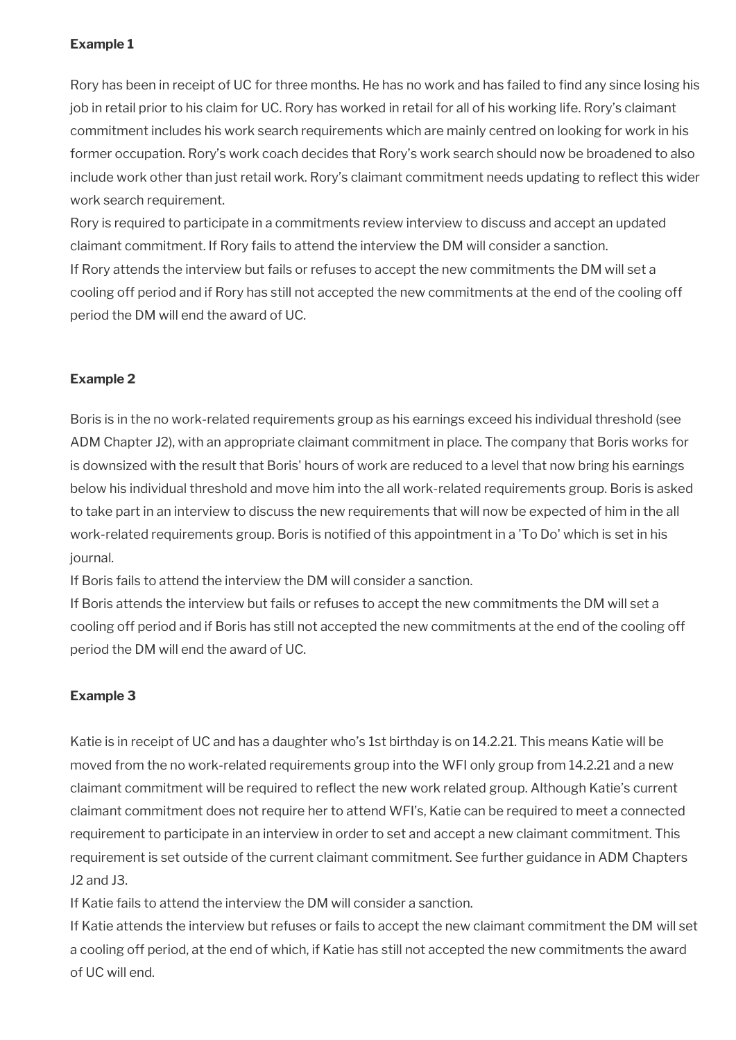Rory has been in receipt of UC for three months. He has no work and has failed to fnd any since losing his job in retail prior to his claim for UC. Rory has worked in retail for all of his working life. Rory's claimant commitment includes his work search requirements which are mainly centred on looking for work in his former occupation. Rory's work coach decides that Rory's work search should now be broadened to also include work other than just retail work. Rory's claimant commitment needs updating to refect this wider work search requirement.

Rory is required to participate in a commitments review interview to discuss and accept an updated claimant commitment. If Rory fails to attend the interview the DM will consider a sanction. If Rory attends the interview but fails or refuses to accept the new commitments the DM will set a cooling off period and if Rory has still not accepted the new commitments at the end of the cooling off period the DM will end the award of UC.

#### **Example 2**

Boris is in the no work-related requirements group as his earnings exceed his individual threshold (see ADM Chapter J2), with an appropriate claimant commitment in place. The company that Boris works for is downsized with the result that Boris' hours of work are reduced to a level that now bring his earnings below his individual threshold and move him into the all work-related requirements group. Boris is asked to take part in an interview to discuss the new requirements that will now be expected of him in the all work-related requirements group. Boris is notifed of this appointment in a 'To Do' which is set in his journal.

If Boris fails to attend the interview the DM will consider a sanction.

If Boris attends the interview but fails or refuses to accept the new commitments the DM will set a cooling off period and if Boris has still not accepted the new commitments at the end of the cooling off period the DM will end the award of UC.

#### **Example 3**

Katie is in receipt of UC and has a daughter who's 1st birthday is on 14.2.21. This means Katie will be moved from the no work-related requirements group into the WFI only group from 14.2.21 and a new claimant commitment will be required to refect the new work related group. Although Katie's current claimant commitment does not require her to attend WFI's, Katie can be required to meet a connected requirement to participate in an interview in order to set and accept a new claimant commitment. This requirement is set outside of the current claimant commitment. See further guidance in ADM Chapters J2 and J3.

If Katie fails to attend the interview the DM will consider a sanction.

If Katie attends the interview but refuses or fails to accept the new claimant commitment the DM will set a cooling off period, at the end of which, if Katie has still not accepted the new commitments the award of UC will end.